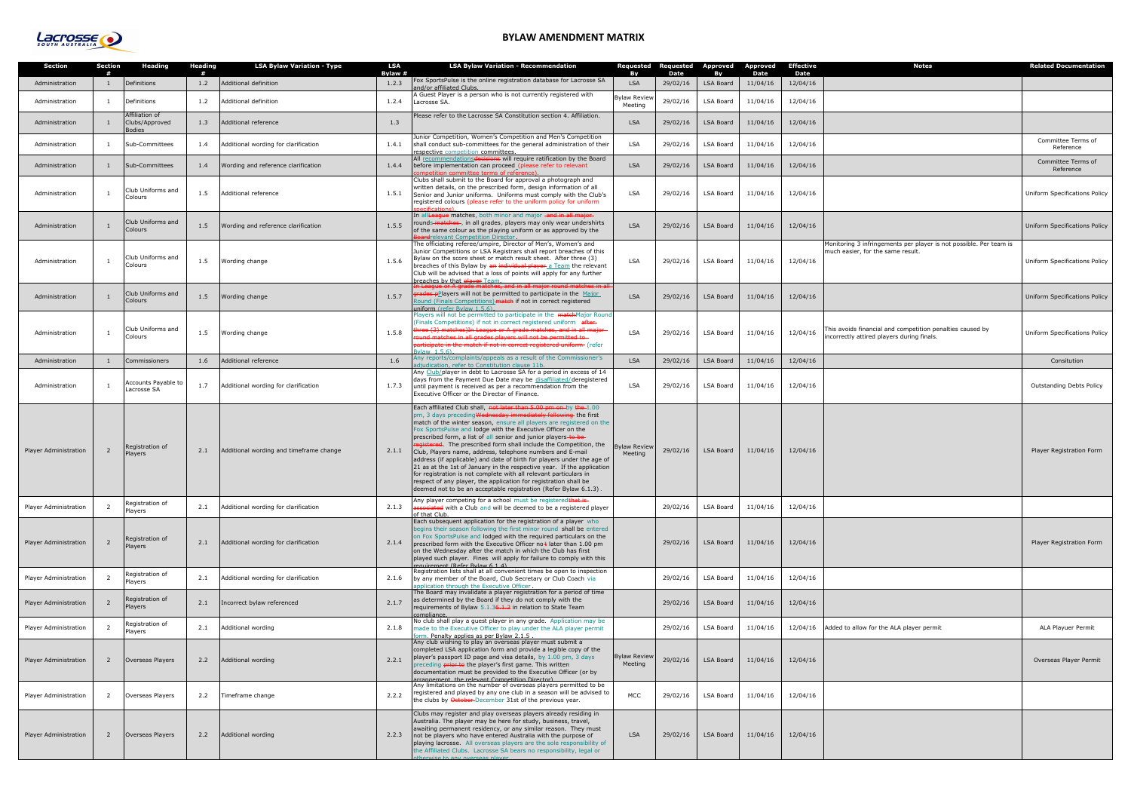| equested<br>Bv       | Requested<br><b>Date</b> | Approved<br>By   | <b>Approved</b><br><b>Date</b> | <b>Effective</b><br>Date | <b>Notes</b>                                                                                            | <b>Related Documentation</b>    |
|----------------------|--------------------------|------------------|--------------------------------|--------------------------|---------------------------------------------------------------------------------------------------------|---------------------------------|
| <b>LSA</b>           | 29/02/16                 | <b>LSA Board</b> | 11/04/16                       | 12/04/16                 |                                                                                                         |                                 |
| aw Review<br>Meeting | 29/02/16                 | LSA Board        | 11/04/16                       | 12/04/16                 |                                                                                                         |                                 |
| <b>LSA</b>           | 29/02/16                 | LSA Board        | 11/04/16                       | 12/04/16                 |                                                                                                         |                                 |
| LSA                  | 29/02/16                 | LSA Board        | 11/04/16                       | 12/04/16                 |                                                                                                         | Committee Terms of<br>Reference |
| <b>LSA</b>           | 29/02/16                 | <b>LSA Board</b> | 11/04/16                       | 12/04/16                 |                                                                                                         | Committee Terms of<br>Reference |
| LSA                  | 29/02/16                 | <b>LSA Board</b> | 11/04/16                       | 12/04/16                 |                                                                                                         | Uniform Specifications Policy   |
| <b>LSA</b>           | 29/02/16                 | <b>LSA Board</b> | 11/04/16                       | 12/04/16                 |                                                                                                         | Uniform Specifications Policy   |
| <b>LSA</b>           | 29/02/16                 | LSA Board        | 11/04/16                       | 12/04/16                 | Monitoring 3 infringements per player is not possible. Per team is<br>much easier, for the same result. | Uniform Specifications Policy   |
| <b>LSA</b>           | 29/02/16                 | <b>LSA Board</b> | 11/04/16                       | 12/04/16                 |                                                                                                         | Uniform Specifications Policy   |
| LSA                  | 29/02/16                 | <b>LSA Board</b> | 11/04/16                       | 12/04/16                 | This avoids financial and competition penalties caused by<br>incorrectly attired players during finals. | Uniform Specifications Policy   |
| <b>LSA</b>           | 29/02/16                 | <b>LSA Board</b> | 11/04/16                       | 12/04/16                 |                                                                                                         | Consitution                     |
| LSA                  | 29/02/16                 | LSA Board        | 11/04/16                       | 12/04/16                 |                                                                                                         | <b>Outstanding Debts Policy</b> |
| aw Review<br>Meeting | 29/02/16                 | LSA Board        | 11/04/16                       | 12/04/16                 |                                                                                                         | Player Registration Form        |
|                      | 29/02/16                 | LSA Board        | 11/04/16                       | 12/04/16                 |                                                                                                         |                                 |
|                      | 29/02/16                 | <b>LSA Board</b> | 11/04/16                       | 12/04/16                 |                                                                                                         | Player Registration Form        |
|                      | 29/02/16                 | LSA Board        | 11/04/16                       | 12/04/16                 |                                                                                                         |                                 |
|                      | 29/02/16                 | <b>LSA Board</b> | 11/04/16                       | 12/04/16                 |                                                                                                         |                                 |
|                      | 29/02/16                 | LSA Board        | 11/04/16                       | 12/04/16                 | Added to allow for the ALA player permit                                                                | ALA Playuer Permit              |
| aw Review<br>Meeting | 29/02/16                 | <b>LSA Board</b> | 11/04/16                       | 12/04/16                 |                                                                                                         | Overseas Player Permit          |
| MCC                  | 29/02/16                 | LSA Board        | 11/04/16                       | 12/04/16                 |                                                                                                         |                                 |
| <b>LSA</b>           | 29/02/16                 | <b>LSA Board</b> | 11/04/16                       | 12/04/16                 |                                                                                                         |                                 |

| <b>Section</b>               | <b>Section</b><br># | <b>Heading</b>                                    | Heading<br># | <b>LSA Bylaw Variation - Type</b>       | <b>LSA</b><br>Bylaw # | <b>LSA Bylaw Variation - Recommendation</b>                                                                                                                                                                                                                                                                                                                                                                                                                                                                                                                                                                                                                                                                                                                                                                                                     | Requested<br>Bv                | Requested<br>Date | Approved<br>Bv   | <b>Approved</b>  | <b>Effective</b><br>Date | <b>Notes</b>                                                                                            | <b>Related Documental</b>      |
|------------------------------|---------------------|---------------------------------------------------|--------------|-----------------------------------------|-----------------------|-------------------------------------------------------------------------------------------------------------------------------------------------------------------------------------------------------------------------------------------------------------------------------------------------------------------------------------------------------------------------------------------------------------------------------------------------------------------------------------------------------------------------------------------------------------------------------------------------------------------------------------------------------------------------------------------------------------------------------------------------------------------------------------------------------------------------------------------------|--------------------------------|-------------------|------------------|------------------|--------------------------|---------------------------------------------------------------------------------------------------------|--------------------------------|
| Administration               | $\mathbf{1}$        | Definitions                                       | 1.2          | Additional definition                   | 1.2.3                 | Fox SportsPulse is the online registration database for Lacrosse SA<br>and/or affiliated Clubs.                                                                                                                                                                                                                                                                                                                                                                                                                                                                                                                                                                                                                                                                                                                                                 | <b>LSA</b>                     | 29/02/16          | LSA Board        | Date<br>11/04/16 | 12/04/16                 |                                                                                                         |                                |
| Administration               | $\mathbf{1}$        | Definitions                                       | 1.2          | Additional definition                   | 1.2.4                 | A Guest Player is a person who is not currently registered with<br>Lacrosse SA.                                                                                                                                                                                                                                                                                                                                                                                                                                                                                                                                                                                                                                                                                                                                                                 | <b>Bylaw Reviev</b><br>Meeting | 29/02/16          | LSA Board        | 11/04/16         | 12/04/16                 |                                                                                                         |                                |
| Administration               | $\mathbf{1}$        | Affiliation of<br>Clubs/Approved<br><b>Bodies</b> | 1.3          | Additional reference                    | 1.3                   | lease refer to the Lacrosse SA Constitution section 4. Affiliation.                                                                                                                                                                                                                                                                                                                                                                                                                                                                                                                                                                                                                                                                                                                                                                             | <b>LSA</b>                     | 29/02/16          | LSA Board        | 11/04/16         | 12/04/16                 |                                                                                                         |                                |
| Administration               | 1                   | Sub-Committees                                    | 1.4          | Additional wording for clarification    | 1.4.1                 | unior Competition, Women's Competition and Men's Competition<br>shall conduct sub-committees for the general administration of their<br>espective competition committees.                                                                                                                                                                                                                                                                                                                                                                                                                                                                                                                                                                                                                                                                       | LSA                            | 29/02/16          | LSA Board        | 11/04/16         | 12/04/16                 |                                                                                                         | Committee Terms o<br>Reference |
| Administration               | 1                   | Sub-Committees                                    | 1.4          | Wording and reference clarification     | 1.4.4                 | All recommendationsdecisions will require ratification by the Board<br>before implementation can proceed (please refer to relevant<br>mnetition committee terms of reference)                                                                                                                                                                                                                                                                                                                                                                                                                                                                                                                                                                                                                                                                   | <b>LSA</b>                     | 29/02/16          | <b>LSA Board</b> | 11/04/16         | 12/04/16                 |                                                                                                         | Committee Terms o<br>Reference |
| Administration               |                     | Club Uniforms and<br>Colours                      | 1.5          | Additional reference                    | 1.5.1                 | Clubs shall submit to the Board for approval a photograph and<br>written details, on the prescribed form, design information of all<br>Senior and Junior uniforms. Uniforms must comply with the Club's<br>registered colours (please refer to the uniform policy for uniform<br>acificatione)                                                                                                                                                                                                                                                                                                                                                                                                                                                                                                                                                  | LSA                            | 29/02/16          | LSA Board        | 11/04/16         | 12/04/16                 |                                                                                                         | Uniform Specifications F       |
| Administration               |                     | Club Uniforms and<br><b>Colours</b>               | 1.5          | Wording and reference clarification     | 1.5.5                 | In all League matches, both minor and major -and in all major-<br>rounds-matches-, in all grades, players may only wear undershirts<br>of the same colour as the playing uniform or as approved by the<br>ardrelevant Competition Director                                                                                                                                                                                                                                                                                                                                                                                                                                                                                                                                                                                                      | <b>LSA</b>                     | 29/02/16          | <b>LSA Board</b> | 11/04/16         | 12/04/16                 |                                                                                                         | Uniform Specifications F       |
| Administration               | 1                   | Club Uniforms and<br>Colours                      | 1.5          | Wording change                          | 1.5.6                 | The officiating referee/umpire, Director of Men's, Women's and<br>Junior Competitions or LSA Registrars shall report breaches of this<br>Bylaw on the score sheet or match result sheet. After three (3)<br>breaches of this Bylaw by an individual player a Team the relevant<br>Club will be advised that a loss of points will apply for any further<br>oreaches by that alaver Team                                                                                                                                                                                                                                                                                                                                                                                                                                                         | LSA                            | 29/02/16          | <b>LSA Board</b> | 11/04/16         | 12/04/16                 | Monitoring 3 infringements per player is not possible. Per team is<br>much easier, for the same result. | Uniform Specifications F       |
| Administration               |                     | Club Uniforms and<br>Colours                      | 1.5          | Wording change                          | 1.5.7                 | In League or A grade matches, and in all major round matches in all<br>rades pPlayers will not be permitted to participate in the Major<br>lound (Finals Competitions) match if not in correct registered<br>iniform (refer Bylaw 1.5.6).                                                                                                                                                                                                                                                                                                                                                                                                                                                                                                                                                                                                       | <b>LSA</b>                     | 29/02/16          | LSA Board        | 11/04/16         | 12/04/16                 |                                                                                                         | Uniform Specifications F       |
| Administration               | $\mathbf{1}$        | Club Uniforms and<br>Colours                      | 1.5          | Wording change                          | 1.5.8                 | Players will not be permitted to participate in the matchMajor Round<br>(Finals Competitions) if not in correct registered uniform after-<br>aree (3) matches)In League or A grade matches, and in all major<br>ound matches in all grades players will not be permitted to-<br>articipate in the match if not in correct registered uniform (refer<br>$v \le 1.56$                                                                                                                                                                                                                                                                                                                                                                                                                                                                             | LSA                            | 29/02/16          | <b>LSA Board</b> | 11/04/16         | 12/04/16                 | This avoids financial and competition penalties caused by<br>incorrectly attired players during finals. | Uniform Specifications F       |
| Administration               | $\mathbf{1}$        | Commissioners                                     | 1.6          | Additional reference                    | 1.6                   | iny reports/complaints/appeals as a result of the Commissioner's<br>diudication, refer to Constitution clause 11b.                                                                                                                                                                                                                                                                                                                                                                                                                                                                                                                                                                                                                                                                                                                              | <b>LSA</b>                     | 29/02/16          | <b>LSA Board</b> | 11/04/16         | 12/04/16                 |                                                                                                         | Consitution                    |
| Administration               |                     | Accounts Payable to<br>Lacrosse SA                | 1.7          | Additional wording for clarification    | 1.7.3                 | Any Club/player in debt to Lacrosse SA for a period in excess of 14<br>days from the Payment Due Date may be disaffiliated/deregistered<br>until payment is received as per a recommendation from the<br>Executive Officer or the Director of Finance.                                                                                                                                                                                                                                                                                                                                                                                                                                                                                                                                                                                          | LSA                            | 29/02/16          | <b>LSA Board</b> | 11/04/16         | 12/04/16                 |                                                                                                         | Outstanding Debts Po           |
| <b>Player Administration</b> | $\overline{2}$      | Registration of<br>Players                        | 2.1          | Additional wording and timeframe change | 2.1.1                 | Each affiliated Club shall, not later than 5.00 pm on by the 1.00<br>pm, 3 days preceding Wednesday immediately following the first<br>match of the winter season, ensure all players are registered on the<br>Fox SportsPulse and lodge with the Executive Officer on the<br>prescribed form, a list of all senior and junior players to be-<br>egistered. The prescribed form shall include the Competition, the<br>Club, Players name, address, telephone numbers and E-mail<br>address (if applicable) and date of birth for players under the age of<br>21 as at the 1st of January in the respective year. If the application<br>for registration is not complete with all relevant particulars in<br>respect of any player, the application for registration shall be<br>deemed not to be an acceptable registration (Refer Bylaw 6.1.3) | <b>Bylaw Review</b><br>Meeting | 29/02/16          | LSA Board        | 11/04/16         | 12/04/16                 |                                                                                                         | Player Registration Fo         |
| Player Administration        | - 2                 | Registration of<br>Players                        | 2.1          | Additional wording for clarification    | 2.1.3                 | Any player competing for a school must be registeredthat is<br>associated with a Club and will be deemed to be a registered player<br>of that Club.                                                                                                                                                                                                                                                                                                                                                                                                                                                                                                                                                                                                                                                                                             |                                | 29/02/16          | LSA Board        | 11/04/16         | 12/04/16                 |                                                                                                         |                                |
| Player Administration        | $\overline{2}$      | Registration of<br>Players                        | 2.1          | Additional wording for clarification    | 2.1.4                 | Each subsequent application for the registration of a player who<br>begins their season following the first minor round shall be entered<br>on Fox SportsPulse and lodged with the required particulars on the<br>prescribed form with the Executive Officer no $\frac{1}{3}$ later than 1.00 pm<br>on the Wednesday after the match in which the Club has first<br>played such player. Fines will apply for failure to comply with this<br>equirement (Refer Bylaw 6 1 4)                                                                                                                                                                                                                                                                                                                                                                      |                                | 29/02/16          | LSA Board        | 11/04/16         | 12/04/16                 |                                                                                                         | Player Registration Fo         |
| Player Administration        | <sup>2</sup>        | Registration of<br>Players                        | 2.1          | Additional wording for clarification    | 2.1.6                 | Registration lists shall at all convenient times be open to inspection<br>by any member of the Board, Club Secretary or Club Coach via<br>ipplication through the Executive Officer                                                                                                                                                                                                                                                                                                                                                                                                                                                                                                                                                                                                                                                             |                                | 29/02/16          | LSA Board        | 11/04/16         | 12/04/16                 |                                                                                                         |                                |
| <b>Player Administration</b> | $\overline{2}$      | Registration of<br>Players                        | 2.1          | Incorrect bylaw referenced              | 2.1.7                 | The Board may invalidate a player registration for a period of time<br>as determined by the Board if they do not comply with the<br>requirements of Bylaw 5.1.36.1.2 in relation to State Team<br>compliance.                                                                                                                                                                                                                                                                                                                                                                                                                                                                                                                                                                                                                                   |                                | 29/02/16          | <b>LSA Board</b> | 11/04/16         | 12/04/16                 |                                                                                                         |                                |
| Player Administration        | <sup>2</sup>        | Registration of<br>Players                        |              | 2.1 Additional wording                  | 2.1.8                 | No club shall play a guest player in any grade. Application may be<br>made to the Executive Officer to play under the ALA player permit<br>orm. Penalty applies as per Bylaw 2.1.5                                                                                                                                                                                                                                                                                                                                                                                                                                                                                                                                                                                                                                                              |                                | 29/02/16          | LSA Board        | 11/04/16         |                          | 12/04/16 Added to allow for the ALA player permit                                                       | ALA Playuer Permit             |
| <b>Player Administration</b> | $\overline{2}$      | Overseas Players                                  | 2.2          | Additional wording                      | 2.2.1                 | Any club wishing to play an overseas player must submit a<br>completed LSA application form and provide a legible copy of the<br>player's passport ID page and visa details, by 1.00 pm, 3 days<br>preceding <b>prior to</b> the player's first game. This written<br>documentation must be provided to the Executive Officer (or by<br>arrangement, the relevant Competition Director).                                                                                                                                                                                                                                                                                                                                                                                                                                                        | <b>Bylaw Review</b><br>Meeting | 29/02/16          | <b>LSA Board</b> | 11/04/16         | 12/04/16                 |                                                                                                         | Overseas Player Perr           |
| Player Administration        | 2                   | Overseas Players                                  | 2.2          | Timeframe change                        | 2.2.2                 | Any limitations on the number of overseas players permitted to be<br>registered and played by any one club in a season will be advised to<br>the clubs by October-December 31st of the previous year.                                                                                                                                                                                                                                                                                                                                                                                                                                                                                                                                                                                                                                           | MCC                            | 29/02/16          | <b>LSA Board</b> | 11/04/16         | 12/04/16                 |                                                                                                         |                                |
| Player Administration        | $\overline{2}$      | Overseas Players                                  | 2.2          | Additional wording                      | 2.2.3                 | Clubs may register and play overseas players already residing in<br>Australia. The player may be here for study, business, travel,<br>awaiting permanent residency, or any similar reason. They must<br>not be players who have entered Australia with the purpose of<br>playing lacrosse. All overseas players are the sole responsibility of<br>the Affiliated Clubs. Lacrosse SA bears no responsibility, legal or<br>herwise to any overseas player                                                                                                                                                                                                                                                                                                                                                                                         | <b>LSA</b>                     | 29/02/16          | LSA Board        | 11/04/16         | 12/04/16                 |                                                                                                         |                                |



## **BYLAW AMENDMENT MATRIX**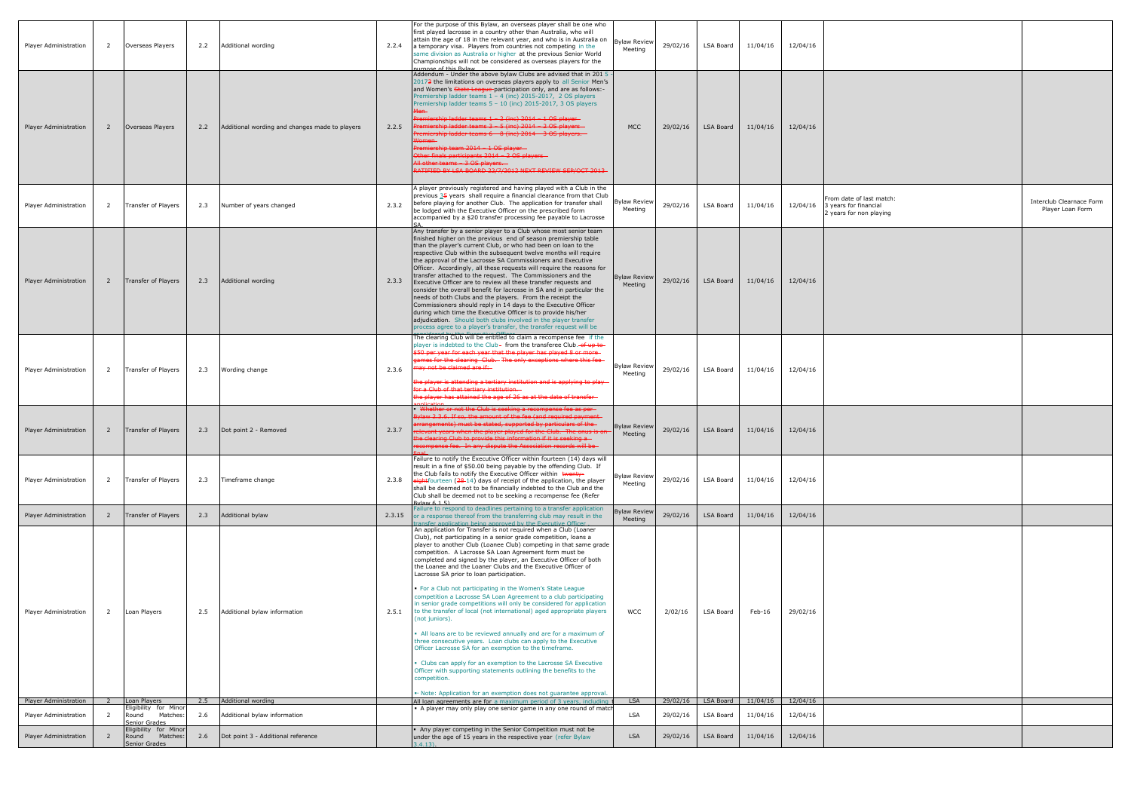| Player Administration        | $\overline{2}$ | Overseas Players                                            | 2.2 | Additional wording                             | 2.2.4  | For the purpose of this Bylaw, an overseas player shall be one who<br>first played lacrosse in a country other than Australia, who will<br>attain the age of 18 in the relevant year, and who is in Australia on<br>a temporary visa. Players from countries not competing in the<br>same division as Australia or higher at the previous Senior World<br>Championships will not be considered as overseas players for the<br>urnose of this Bylaw                                                                                                                                                                                                                                                                                                                                                                                                                                                                                                                                                                                                                                                                                                                                                                                                  | <b>Bylaw Review</b><br>Meeting | 29/02/16 | LSA Board                                  | 11/04/16 | 12/04/16 |                                                                              |                                              |
|------------------------------|----------------|-------------------------------------------------------------|-----|------------------------------------------------|--------|-----------------------------------------------------------------------------------------------------------------------------------------------------------------------------------------------------------------------------------------------------------------------------------------------------------------------------------------------------------------------------------------------------------------------------------------------------------------------------------------------------------------------------------------------------------------------------------------------------------------------------------------------------------------------------------------------------------------------------------------------------------------------------------------------------------------------------------------------------------------------------------------------------------------------------------------------------------------------------------------------------------------------------------------------------------------------------------------------------------------------------------------------------------------------------------------------------------------------------------------------------|--------------------------------|----------|--------------------------------------------|----------|----------|------------------------------------------------------------------------------|----------------------------------------------|
| Player Administration        | $\overline{2}$ | Overseas Players                                            | 2.2 | Additional wording and changes made to players | 2.2.5  | Addendum - Under the above bylaw Clubs are advised that in 201 5<br>20173 the limitations on overseas players apply to all Senior Men's<br>and Women's State League-participation only, and are as follows:-<br>Premiership ladder teams 1 - 4 (inc) 2015-2017, 2 OS players<br>Premiership ladder teams 5 - 10 (inc) 2015-2017, 3 OS players<br>remiership ladder teams 1 - 2 (inc) 2014 - 1 OS player-<br>emiership ladder teams 3 - 5 (inc) 2014 - 2 OS players -<br>emiership ladder teams 6 - 8 (inc) 2014 - 3 OS players.<br>remiership team 2014 - 1 OS player-<br>ther finals participants 2014 - 2 OS players -<br>All other teams - 3 OS players. -<br>RATIFIED BY LSA BOARD 22/7/2012 NEXT REVIEW SEP/OCT 2013                                                                                                                                                                                                                                                                                                                                                                                                                                                                                                                           | <b>MCC</b>                     | 29/02/16 | LSA Board                                  | 11/04/16 | 12/04/16 |                                                                              |                                              |
| Player Administration        | 2              | Transfer of Players                                         | 2.3 | Number of years changed                        | 2.3.2  | A player previously registered and having played with a Club in the<br>previous $35$ years shall require a financial clearance from that Club<br>before playing for another Club. The application for transfer shall<br>be lodged with the Executive Officer on the prescribed form<br>accompanied by a \$20 transfer processing fee payable to Lacrosse                                                                                                                                                                                                                                                                                                                                                                                                                                                                                                                                                                                                                                                                                                                                                                                                                                                                                            | <b>Bylaw Review</b><br>Meeting | 29/02/16 | LSA Board                                  | 11/04/16 | 12/04/16 | From date of last match:<br>3 years for financial<br>2 years for non playing | Interclub Clearnace Form<br>Player Loan Form |
| <b>Player Administration</b> | $\overline{2}$ | Transfer of Players                                         | 2.3 | Additional wording                             | 2.3.3  | Any transfer by a senior player to a Club whose most senior team<br>finished higher on the previous end of season premiership table<br>than the player's current Club, or who had been on loan to the<br>respective Club within the subsequent twelve months will require<br>the approval of the Lacrosse SA Commissioners and Executive<br>Officer. Accordingly, all these requests will require the reasons for<br>transfer attached to the request. The Commissioners and the<br>Executive Officer are to review all these transfer requests and<br>consider the overall benefit for lacrosse in SA and in particular the<br>needs of both Clubs and the players. From the receipt the<br>Commissioners should reply in 14 days to the Executive Officer<br>during which time the Executive Officer is to provide his/her<br>adjudication. Should both clubs involved in the player transfer<br>process agree to a player's transfer, the transfer request will be                                                                                                                                                                                                                                                                               | <b>Bylaw Review</b><br>Meeting | 29/02/16 | LSA Board                                  | 11/04/16 | 12/04/16 |                                                                              |                                              |
| Player Administration        | $\overline{2}$ | Transfer of Players                                         | 2.3 | Wording change                                 | 2.3.6  | The clearing Club will be entitled to claim a recompense fee if the<br>player is indebted to the Club- from the transferee Club. of up to-<br>\$50 per year for each year that the player has played 8 or more-<br>ames for the clearing Club. The only exceptions where this fee<br>nay not be claimed are if:<br>the player is attending a tertiary institution and is applying to play<br>for a Club of that tertiary institution.<br>the player has attained the age of 26 as at the date of transfer-                                                                                                                                                                                                                                                                                                                                                                                                                                                                                                                                                                                                                                                                                                                                          | <b>Bylaw Review</b><br>Meeting | 29/02/16 | LSA Board                                  | 11/04/16 | 12/04/16 |                                                                              |                                              |
| <b>Player Administration</b> | $\overline{2}$ | Transfer of Players                                         | 2.3 | Dot point 2 - Removed                          | 2.3.7  | • Whether or not the Club is seeking a recompense fee as per-<br>Bylaw 2.3.6. If so, the amount of the fee (and required payment-<br>rangements) must be stated, supported by particulars of the-<br>Hevant years when the player played for the Club. The onus is on<br>the clearing Club to provide this information if it is seeking a<br>ecompense fee. In any dispute the Association records will be                                                                                                                                                                                                                                                                                                                                                                                                                                                                                                                                                                                                                                                                                                                                                                                                                                          | <b>Bylaw Review</b><br>Meeting | 29/02/16 | LSA Board                                  | 11/04/16 | 12/04/16 |                                                                              |                                              |
| Player Administration        | 2              | Transfer of Players                                         | 2.3 | Timeframe change                               | 2.3.8  | Failure to notify the Executive Officer within fourteen (14) days will<br>result in a fine of \$50.00 being payable by the offending Club. If<br>the Club fails to notify the Executive Officer within twenty-<br>ightfourteen (28-14) days of receipt of the application, the player<br>shall be deemed not to be financially indebted to the Club and the<br>Club shall be deemed not to be seeking a recompense fee (Refer<br>Rvlaw 6 1 5                                                                                                                                                                                                                                                                                                                                                                                                                                                                                                                                                                                                                                                                                                                                                                                                        | <b>Bylaw Review</b><br>Meeting | 29/02/16 | LSA Board                                  | 11/04/16 | 12/04/16 |                                                                              |                                              |
| Player Administration        | <sup>2</sup>   | Transfer of Players                                         | 2.3 | Additional bylaw                               | 2.3.15 | Failure to respond to deadlines pertaining to a transfer application<br>or a response thereof from the transferring club may result in the                                                                                                                                                                                                                                                                                                                                                                                                                                                                                                                                                                                                                                                                                                                                                                                                                                                                                                                                                                                                                                                                                                          | <b>Bylaw Review</b><br>Meeting | 29/02/16 | <b>LSA Board</b>                           | 11/04/16 | 12/04/16 |                                                                              |                                              |
| Player Administration        | 2              | Loan Players                                                | 2.5 | Additional bylaw information                   | 2.5.1  | transfer application being approved by the Executive Officer.<br>An application for Transfer is not required when a Club (Loaner<br>Club), not participating in a senior grade competition, loans a<br>player to another Club (Loanee Club) competing in that same grade<br>competition. A Lacrosse SA Loan Agreement form must be<br>completed and signed by the player, an Executive Officer of both<br>the Loanee and the Loaner Clubs and the Executive Officer of<br>Lacrosse SA prior to loan participation.<br>• For a Club not participating in the Women's State League<br>competition a Lacrosse SA Loan Agreement to a club participating<br>in senior grade competitions will only be considered for application<br>to the transfer of local (not international) aged appropriate players<br>(not juniors).<br>. All loans are to be reviewed annually and are for a maximum of<br>three consecutive years. Loan clubs can apply to the Executive<br>Officer Lacrosse SA for an exemption to the timeframe.<br>• Clubs can apply for an exemption to the Lacrosse SA Executive<br>Officer with supporting statements outlining the benefits to the<br>competition.<br>• Note: Application for an exemption does not guarantee approval. | <b>WCC</b>                     | 2/02/16  | LSA Board                                  | Feb-16   | 29/02/16 |                                                                              |                                              |
| Player Administration        |                | Loan Players                                                |     | 2.5 Additional wording                         |        | All loan agreements are for a maximum period of 3 years, including t                                                                                                                                                                                                                                                                                                                                                                                                                                                                                                                                                                                                                                                                                                                                                                                                                                                                                                                                                                                                                                                                                                                                                                                | <b>LSA</b>                     |          | 29/02/16   LSA Board   11/04/16   12/04/16 |          |          |                                                                              |                                              |
| Player Administration        | 2              | Eligibility for Minor<br>Matches:<br>Round<br>Senior Grades | 2.6 | Additional bylaw information                   |        | • A player may only play one senior game in any one round of match                                                                                                                                                                                                                                                                                                                                                                                                                                                                                                                                                                                                                                                                                                                                                                                                                                                                                                                                                                                                                                                                                                                                                                                  | LSA                            | 29/02/16 | LSA Board                                  | 11/04/16 | 12/04/16 |                                                                              |                                              |
| Player Administration        | $\overline{2}$ | Eligibility for Minor<br>Matches:<br>Round<br>Senior Grades | 2.6 | Dot point 3 - Additional reference             |        | • Any player competing in the Senior Competition must not be<br>under the age of 15 years in the respective year (refer Bylaw<br>$3.4.13$ .                                                                                                                                                                                                                                                                                                                                                                                                                                                                                                                                                                                                                                                                                                                                                                                                                                                                                                                                                                                                                                                                                                         | <b>LSA</b>                     | 29/02/16 | LSA Board                                  | 11/04/16 | 12/04/16 |                                                                              |                                              |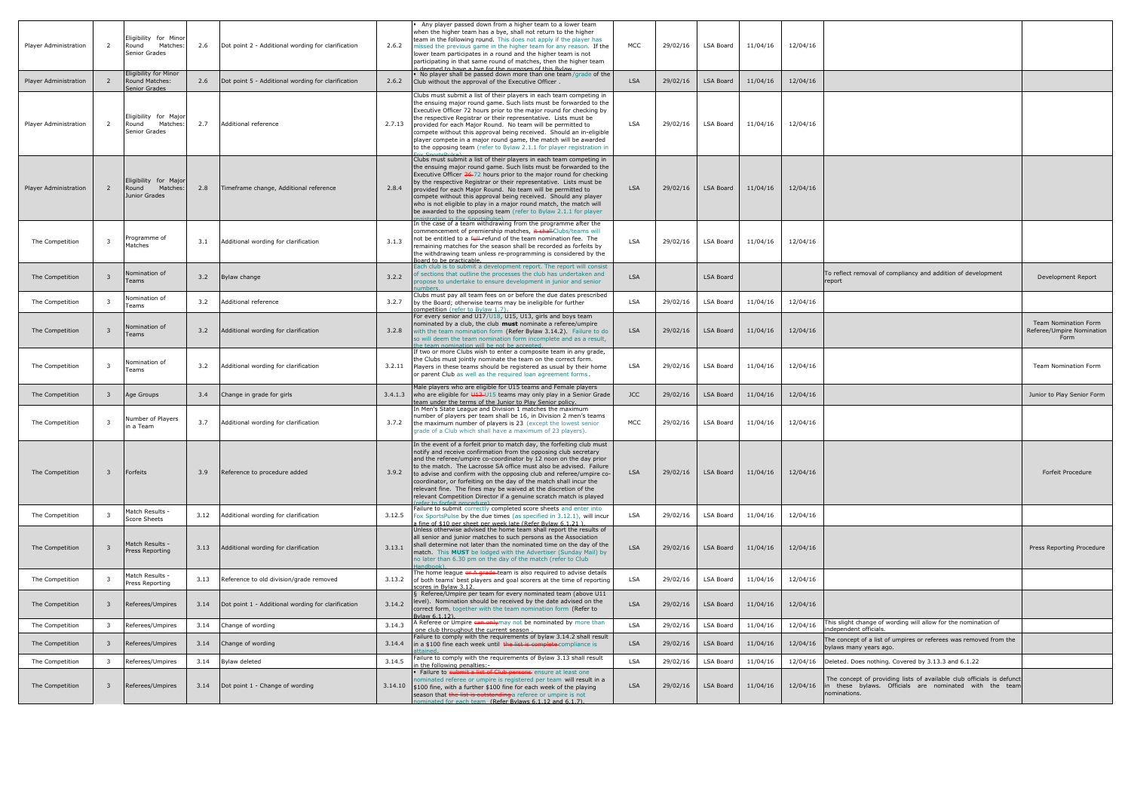| Player Administration        | 2                       | Eligibility for Minor<br>Round<br>Matches:<br><b>Senior Grades</b> | 2.6  | Dot point 2 - Additional wording for clarification | 2.6.2   | Any player passed down from a higher team to a lower team<br>when the higher team has a bye, shall not return to the higher<br>team in the following round. This does not apply if the player has<br>missed the previous game in the higher team for any reason. If the<br>lower team participates in a round and the higher team is not<br>participating in that same round of matches, then the higher team<br>deemed to have a hye for the nurnoses of this Bylaw                                                                                                                                        | <b>MCC</b> | 29/02/16 | LSA Board        | 11/04/16 | 12/04/16 |                                                                                                                                                |
|------------------------------|-------------------------|--------------------------------------------------------------------|------|----------------------------------------------------|---------|-------------------------------------------------------------------------------------------------------------------------------------------------------------------------------------------------------------------------------------------------------------------------------------------------------------------------------------------------------------------------------------------------------------------------------------------------------------------------------------------------------------------------------------------------------------------------------------------------------------|------------|----------|------------------|----------|----------|------------------------------------------------------------------------------------------------------------------------------------------------|
| Player Administration        |                         | <b>Eligibility for Minor</b><br>Round Matches:<br>Senior Grades    | 2.6  | Dot point 5 - Additional wording for clarification | 2.6.2   | No player shall be passed down more than one team/grade of the<br>Club without the approval of the Executive Officer.                                                                                                                                                                                                                                                                                                                                                                                                                                                                                       | <b>LSA</b> | 29/02/16 | <b>LSA Board</b> | 11/04/16 | 12/04/16 |                                                                                                                                                |
| Player Administration        | 2                       | Eligibility for Major<br>Matches:<br>Round<br>Senior Grades        | 2.7  | Additional reference                               | 2.7.13  | Clubs must submit a list of their players in each team competing in<br>the ensuing major round game. Such lists must be forwarded to the<br>Executive Officer 72 hours prior to the major round for checking by<br>the respective Registrar or their representative. Lists must be<br>provided for each Major Round. No team will be permitted to<br>compete without this approval being received. Should an in-eligible<br>player compete in a major round game, the match will be awarded<br>to the opposing team (refer to Bylaw 2.1.1 for player registration in                                        | <b>LSA</b> | 29/02/16 | <b>LSA Board</b> | 11/04/16 | 12/04/16 |                                                                                                                                                |
| <b>Player Administration</b> | 2                       | Eligibility for Major<br>Round<br>Matches:<br>Junior Grades        | 2.8  | Timeframe change, Additional reference             | 2.8.4   | Clubs must submit a list of their players in each team competing in<br>the ensuing major round game. Such lists must be forwarded to the<br>Executive Officer 36-72 hours prior to the major round for checking<br>by the respective Registrar or their representative. Lists must be<br>provided for each Major Round. No team will be permitted to<br>compete without this approval being received. Should any player<br>who is not eligible to play in a major round match, the match will<br>be awarded to the opposing team (refer to Bylaw 2.1.1 for player<br>rictration in Fox SportcPulce          | <b>LSA</b> | 29/02/16 | LSA Board        | 11/04/16 | 12/04/16 |                                                                                                                                                |
| The Competition              | -3                      | Programme of<br>Matches                                            | 3.1  | Additional wording for clarification               | 3.1.3   | In the case of a team withdrawing from the programme after the<br>commencement of premiership matches, it shall Clubs/teams will<br>not be entitled to a full-refund of the team nomination fee. The<br>remaining matches for the season shall be recorded as forfeits by<br>the withdrawing team unless re-programming is considered by the<br>Board to be practicable.                                                                                                                                                                                                                                    | <b>LSA</b> | 29/02/16 | LSA Board        | 11/04/16 | 12/04/16 |                                                                                                                                                |
| The Competition              | -3                      | Nomination of<br>Teams                                             | 3.2  | Bylaw change                                       | 3.2.2   | Each club is to submit a development report. The report will consist<br>of sections that outline the processes the club has undertaken and<br>propose to undertake to ensure development in junior and senior                                                                                                                                                                                                                                                                                                                                                                                               | <b>LSA</b> |          | <b>LSA Board</b> |          |          | To reflect removal of compliancy and addition of development<br>report                                                                         |
| The Competition              | - 3                     | Nomination of<br>Teams                                             | 3.2  | Additional reference                               | 3.2.7   | Clubs must pay all team fees on or before the due dates prescribed<br>by the Board; otherwise teams may be ineligible for further<br>competition (refer to Bylaw 1.7).                                                                                                                                                                                                                                                                                                                                                                                                                                      | <b>LSA</b> | 29/02/16 | LSA Board        | 11/04/16 | 12/04/16 |                                                                                                                                                |
| The Competition              |                         | Nomination of<br>Teams                                             | 3.2  | Additional wording for clarification               | 3.2.8   | For every senior and U17/U18, U15, U13, girls and boys team<br>nominated by a club, the club must nominate a referee/umpire<br>with the team nomination form (Refer Bylaw 3.14.2). Failure to do<br>so will deem the team nomination form incomplete and as a result,<br>he team nomination will be not be accepted.                                                                                                                                                                                                                                                                                        | <b>LSA</b> | 29/02/16 | <b>LSA Board</b> | 11/04/16 | 12/04/16 |                                                                                                                                                |
| The Competition              | 3                       | Nomination of<br>Teams                                             | 3.2  | Additional wording for clarification               | 3.2.11  | If two or more Clubs wish to enter a composite team in any grade,<br>the Clubs must jointly nominate the team on the correct form.<br>Players in these teams should be registered as usual by their home<br>or parent Club as well as the required loan agreement forms.                                                                                                                                                                                                                                                                                                                                    | <b>LSA</b> | 29/02/16 | LSA Board        | 11/04/16 | 12/04/16 |                                                                                                                                                |
| The Competition              |                         | Age Groups                                                         | 3.4  | Change in grade for girls                          | 3.4.1.3 | Male players who are eligible for U15 teams and Female players<br>who are eligible for $\frac{13}{13}$ U15 teams may only play in a Senior Grade<br>team under the terms of the Junior to Play Senior policy.                                                                                                                                                                                                                                                                                                                                                                                               | <b>JCC</b> | 29/02/16 | <b>LSA Board</b> | 11/04/16 | 12/04/16 |                                                                                                                                                |
| The Competition              | 3                       | Number of Players<br>n a Team                                      | 3.7  | Additional wording for clarification               | 3.7.2   | In Men's State League and Division 1 matches the maximum<br>number of players per team shall be 16, in Division 2 men's teams<br>the maximum number of players is 23 (except the lowest senior<br>grade of a Club which shall have a maximum of 23 players).                                                                                                                                                                                                                                                                                                                                                | <b>MCC</b> | 29/02/16 | LSA Board        | 11/04/16 | 12/04/16 |                                                                                                                                                |
| The Competition              | - 3                     | Forfeits                                                           | 3.9  | Reference to procedure added                       | 3.9.2   | In the event of a forfeit prior to match day, the forfeiting club must<br>notify and receive confirmation from the opposing club secretary<br>and the referee/umpire co-coordinator by 12 noon on the day prior<br>to the match. The Lacrosse SA office must also be advised. Failure<br>to advise and confirm with the opposing club and referee/umpire co-<br>coordinator, or forfeiting on the day of the match shall incur the<br>relevant fine. The fines may be waived at the discretion of the<br>relevant Competition Director if a genuine scratch match is played<br>proper to forfeit procedure) | <b>LSA</b> | 29/02/16 | LSA Board        | 11/04/16 | 12/04/16 |                                                                                                                                                |
| The Competition              | - 3                     | Match Results ·<br>Score Sheets                                    | 3.12 | Additional wording for clarification               | 3.12.5  | Failure to submit correctly completed score sheets and enter into<br>Fox SportsPulse by the due times (as specified in 3.12.1), will incur<br>a fine of \$10 per sheet per week late (Refer Bylaw 6.1.21).                                                                                                                                                                                                                                                                                                                                                                                                  | LSA        | 29/02/16 | LSA Board        | 11/04/16 | 12/04/16 |                                                                                                                                                |
| The Competition              | $\overline{3}$          | Match Results -<br>Press Reporting                                 | 3.13 | Additional wording for clarification               | 3.13.1  | Unless otherwise advised the home team shall report the results of<br>all senior and junior matches to such persons as the Association<br>shall determine not later than the nominated time on the day of the<br>match. This MUST be lodged with the Advertiser (Sunday Mail) by<br>no later than 6.30 pm on the day of the match (refer to Club<br>andbook)                                                                                                                                                                                                                                                | <b>LSA</b> | 29/02/16 | LSA Board        | 11/04/16 | 12/04/16 |                                                                                                                                                |
| The Competition              |                         | Match Results -<br>Press Reporting                                 | 3.13 | Reference to old division/grade removed            | 3.13.2  | The home league or A grade-team is also required to advise details<br>of both teams' best players and goal scorers at the time of reporting<br>scores in Bylaw 3.12.                                                                                                                                                                                                                                                                                                                                                                                                                                        | LSA        | 29/02/16 | LSA Board        | 11/04/16 | 12/04/16 |                                                                                                                                                |
| The Competition              | - 3                     | Referees/Umpires                                                   | 3.14 | Dot point 1 - Additional wording for clarification | 3.14.2  | § Referee/Umpire per team for every nominated team (above U11<br>level). Nomination should be received by the date advised on the<br>correct form, together with the team nomination form (Refer to<br>Bylaw 6.1.12).                                                                                                                                                                                                                                                                                                                                                                                       | <b>LSA</b> | 29/02/16 | LSA Board        | 11/04/16 | 12/04/16 |                                                                                                                                                |
| The Competition              | $\overline{\mathbf{3}}$ | Referees/Umpires                                                   | 3.14 | Change of wording                                  | 3.14.3  | A Referee or Umpire can onlymay not be nominated by more than<br>one club throughout the current season                                                                                                                                                                                                                                                                                                                                                                                                                                                                                                     | <b>LSA</b> | 29/02/16 | LSA Board        | 11/04/16 | 12/04/16 | his slight change of wording will allow for the nomination of<br>independent officials.                                                        |
| The Competition              | -3                      | Referees/Umpires                                                   | 3.14 | Change of wording                                  | 3.14.4  | Failure to comply with the requirements of bylaw 3.14.2 shall result<br>in a \$100 fine each week until the list is complete compliance is<br>ttained.                                                                                                                                                                                                                                                                                                                                                                                                                                                      | <b>LSA</b> | 29/02/16 | <b>LSA Board</b> | 11/04/16 | 12/04/16 | The concept of a list of umpires or referees was removed from the<br>bylaws many years ago.                                                    |
| The Competition              | $\overline{\mathbf{3}}$ | Referees/Umpires                                                   | 3.14 | Bylaw deleted                                      | 3.14.5  | Failure to comply with the requirements of Bylaw 3.13 shall result<br>n the following penalties:-                                                                                                                                                                                                                                                                                                                                                                                                                                                                                                           | <b>LSA</b> | 29/02/16 | LSA Board        | 11/04/16 | 12/04/16 | Deleted. Does nothing. Covered by 3.13.3 and 6.1.22                                                                                            |
| The Competition              | -3                      | Referees/Umpires                                                   | 3.14 | Dot point 1 - Change of wording                    | 3.14.10 | Failure to submit a list of Club persons ensure at least one<br>nominated referee or umpire is registered per team will result in a<br>\$100 fine, with a further \$100 fine for each week of the playing<br>season that the list is outstanding a referee or umpire is not<br>oinated for each team (Refer Bylaws 6.1.12 and 6.1.7).                                                                                                                                                                                                                                                                       | <b>LSA</b> | 29/02/16 | LSA Board        | 11/04/16 | 12/04/16 | The concept of providing lists of available club officials is defun-<br>in these bylaws. Officials are nominated with the tear<br>nominations. |

| исс | 29/02/16 | LSA Board        | 11/04/16 | 12/04/16 |                                                                                                                                                 |                                                           |
|-----|----------|------------------|----------|----------|-------------------------------------------------------------------------------------------------------------------------------------------------|-----------------------------------------------------------|
| LSA | 29/02/16 | LSA Board        | 11/04/16 | 12/04/16 |                                                                                                                                                 |                                                           |
| LSA | 29/02/16 | LSA Board        | 11/04/16 | 12/04/16 |                                                                                                                                                 |                                                           |
| LSA | 29/02/16 | <b>LSA Board</b> | 11/04/16 | 12/04/16 |                                                                                                                                                 |                                                           |
| LSA | 29/02/16 | LSA Board        | 11/04/16 | 12/04/16 |                                                                                                                                                 |                                                           |
| LSA |          | <b>LSA Board</b> |          |          | To reflect removal of compliancy and addition of development<br>report                                                                          | Development Report                                        |
| LSA | 29/02/16 | LSA Board        | 11/04/16 | 12/04/16 |                                                                                                                                                 |                                                           |
| LSA | 29/02/16 | LSA Board        | 11/04/16 | 12/04/16 |                                                                                                                                                 | Team Nomination Form<br>Referee/Umpire Nomination<br>Form |
| LSA | 29/02/16 | LSA Board        | 11/04/16 | 12/04/16 |                                                                                                                                                 | Team Nomination Form                                      |
| JCC | 29/02/16 | LSA Board        | 11/04/16 | 12/04/16 |                                                                                                                                                 | Junior to Play Senior Form                                |
| исс | 29/02/16 | LSA Board        | 11/04/16 | 12/04/16 |                                                                                                                                                 |                                                           |
| LSA | 29/02/16 | LSA Board        | 11/04/16 | 12/04/16 |                                                                                                                                                 | Forfeit Procedure                                         |
| LSA | 29/02/16 | LSA Board        | 11/04/16 | 12/04/16 |                                                                                                                                                 |                                                           |
| LSA | 29/02/16 | LSA Board        | 11/04/16 | 12/04/16 |                                                                                                                                                 | Press Reporting Procedure                                 |
| LSA | 29/02/16 | LSA Board        | 11/04/16 | 12/04/16 |                                                                                                                                                 |                                                           |
| LSA | 29/02/16 | LSA Board        | 11/04/16 | 12/04/16 |                                                                                                                                                 |                                                           |
| LSA | 29/02/16 | LSA Board        | 11/04/16 | 12/04/16 | This slight change of wording will allow for the nomination of<br>independent officials.                                                        |                                                           |
| LSA | 29/02/16 | LSA Board        | 11/04/16 | 12/04/16 | The concept of a list of umpires or referees was removed from the<br>bylaws many years ago.                                                     |                                                           |
| LSA | 29/02/16 | LSA Board        | 11/04/16 | 12/04/16 | Deleted. Does nothing. Covered by 3.13.3 and 6.1.22                                                                                             |                                                           |
| LSA | 29/02/16 | LSA Board        | 11/04/16 | 12/04/16 | The concept of providing lists of available club officials is defunct<br>in these bylaws. Officials are nominated with the team<br>nominations. |                                                           |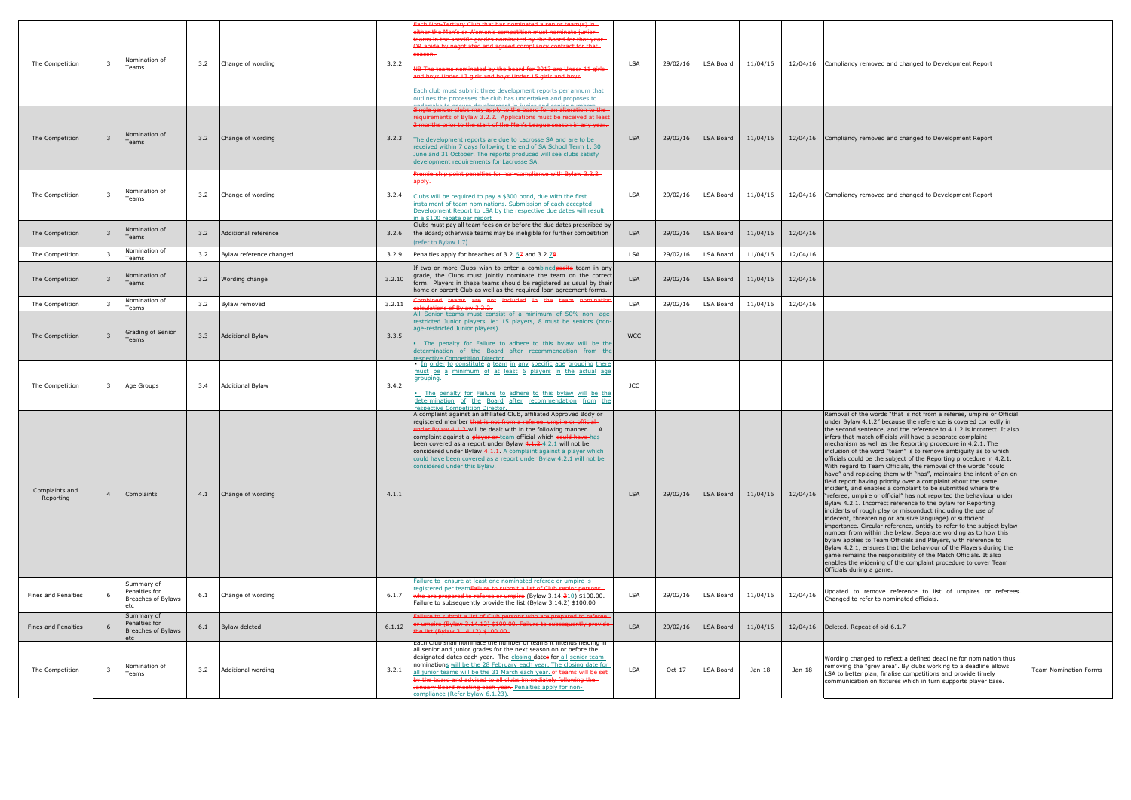| The Competition             | $\overline{3}$          | Nomination of<br>Teams                            | 3.2 | Change of wording       | 3.2.2  | Each Non-Tertiary Club that has nominated a senior team(s) in<br>either the Men's or Women's competition must nominate junior-<br>teams in the specific grades nominated by the Board for that year<br>OR abide by negotiated and agreed compliancy contract for that-<br>eason.<br>NB The teams nominated by the board for 2013 are Under 11 girls<br>and boys Under 13 girls and boys Under 15 girls and boys-<br>Each club must submit three development reports per annum that<br>outlines the processes the club has undertaken and proposes to | <b>LSA</b> | 29/02/16 | LSA Board        | 11/04/16 |          | 12/04/16 Compliancy removed and changed to Development Report                                                                                                                                                                                                                                                                                                                                                                                                                                                                                                                                                                                                                                                                                                                                                                                                                                                                                                                                                                                                                                                                                                                                                                                                                                                                                                                                                                                                                  |
|-----------------------------|-------------------------|---------------------------------------------------|-----|-------------------------|--------|------------------------------------------------------------------------------------------------------------------------------------------------------------------------------------------------------------------------------------------------------------------------------------------------------------------------------------------------------------------------------------------------------------------------------------------------------------------------------------------------------------------------------------------------------|------------|----------|------------------|----------|----------|--------------------------------------------------------------------------------------------------------------------------------------------------------------------------------------------------------------------------------------------------------------------------------------------------------------------------------------------------------------------------------------------------------------------------------------------------------------------------------------------------------------------------------------------------------------------------------------------------------------------------------------------------------------------------------------------------------------------------------------------------------------------------------------------------------------------------------------------------------------------------------------------------------------------------------------------------------------------------------------------------------------------------------------------------------------------------------------------------------------------------------------------------------------------------------------------------------------------------------------------------------------------------------------------------------------------------------------------------------------------------------------------------------------------------------------------------------------------------------|
| The Competition             | -3                      | Nomination of<br>Teams                            | 3.2 | Change of wording       | 3.2.3  | Single gender clubs may apply to the board for an alteration to the<br>requirements of Bylaw 3.2.2. Applications must be received at least<br>2 months prior to the start of the Men's League season in any year.<br>The development reports are due to Lacrosse SA and are to be<br>received within 7 days following the end of SA School Term 1, 30<br>June and 31 October. The reports produced will see clubs satisfy<br>development requirements for Lacrosse SA.                                                                               | <b>LSA</b> | 29/02/16 | LSA Board        | 11/04/16 | 12/04/16 | Compliancy removed and changed to Development Report                                                                                                                                                                                                                                                                                                                                                                                                                                                                                                                                                                                                                                                                                                                                                                                                                                                                                                                                                                                                                                                                                                                                                                                                                                                                                                                                                                                                                           |
| The Competition             | $\overline{\mathbf{3}}$ | Nomination of<br>Teams                            | 3.2 | Change of wording       | 3.2.4  | Premiership point penalties for non-compliance with Bylaw 3.2.2<br><del>apply.</del><br>Clubs will be required to pay a \$300 bond, due with the first<br>instalment of team nominations. Submission of each accepted<br>Development Report to LSA by the respective due dates will result<br>a \$100 rebate ner renort                                                                                                                                                                                                                              | <b>LSA</b> | 29/02/16 | <b>LSA Board</b> | 11/04/16 | 12/04/16 | Compliancy removed and changed to Development Report                                                                                                                                                                                                                                                                                                                                                                                                                                                                                                                                                                                                                                                                                                                                                                                                                                                                                                                                                                                                                                                                                                                                                                                                                                                                                                                                                                                                                           |
| The Competition             | $\mathbf{3}$            | Nomination of<br><b>Teams</b>                     | 3.2 | Additional reference    | 3.2.6  | Clubs must pay all team fees on or before the due dates prescribed by<br>the Board; otherwise teams may be ineligible for further competition<br>refer to Bylaw 1.7).                                                                                                                                                                                                                                                                                                                                                                                | <b>LSA</b> | 29/02/16 | <b>LSA Board</b> | 11/04/16 | 12/04/16 |                                                                                                                                                                                                                                                                                                                                                                                                                                                                                                                                                                                                                                                                                                                                                                                                                                                                                                                                                                                                                                                                                                                                                                                                                                                                                                                                                                                                                                                                                |
| The Competition             | $\overline{\mathbf{3}}$ | Nomination of<br>Teams                            | 3.2 | Bylaw reference changed | 3.2.9  | Penalties apply for breaches of 3.2.67 and 3.2.78.                                                                                                                                                                                                                                                                                                                                                                                                                                                                                                   | LSA        | 29/02/16 | <b>LSA Board</b> | 11/04/16 | 12/04/16 |                                                                                                                                                                                                                                                                                                                                                                                                                                                                                                                                                                                                                                                                                                                                                                                                                                                                                                                                                                                                                                                                                                                                                                                                                                                                                                                                                                                                                                                                                |
| The Competition             | $\overline{3}$          | Nomination of<br><b>Teams</b>                     | 3.2 | Wording change          | 3.2.10 | If two or more Clubs wish to enter a combined posite team in any<br>grade, the Clubs must jointly nominate the team on the correct<br>form. Players in these teams should be registered as usual by their<br>home or parent Club as well as the required loan agreement forms.                                                                                                                                                                                                                                                                       | <b>LSA</b> | 29/02/16 | <b>LSA Board</b> | 11/04/16 | 12/04/16 |                                                                                                                                                                                                                                                                                                                                                                                                                                                                                                                                                                                                                                                                                                                                                                                                                                                                                                                                                                                                                                                                                                                                                                                                                                                                                                                                                                                                                                                                                |
| The Competition             |                         | Nomination of<br>Teams                            | 3.2 | Bylaw removed           | 3.2.11 | ombined teams are not included in the team nominati<br>alculations of Bylaw 3.2.2.                                                                                                                                                                                                                                                                                                                                                                                                                                                                   | <b>LSA</b> | 29/02/16 | <b>LSA Board</b> | 11/04/16 | 12/04/16 |                                                                                                                                                                                                                                                                                                                                                                                                                                                                                                                                                                                                                                                                                                                                                                                                                                                                                                                                                                                                                                                                                                                                                                                                                                                                                                                                                                                                                                                                                |
| The Competition             | $\overline{3}$          | Grading of Senior<br>Teams                        | 3.3 | <b>Additional Bylaw</b> | 3.3.5  | all Senior teams must consist of a minimum of 50% non- age-<br>restricted Junior players. ie: 15 players, 8 must be seniors (non-<br>ge-restricted Junior players).<br>The penalty for Failure to adhere to this bylaw will be the<br>determination of the Board after recommendation from the<br>espective Competition Director.                                                                                                                                                                                                                    | <b>WCC</b> |          |                  |          |          |                                                                                                                                                                                                                                                                                                                                                                                                                                                                                                                                                                                                                                                                                                                                                                                                                                                                                                                                                                                                                                                                                                                                                                                                                                                                                                                                                                                                                                                                                |
| The Competition             | 3                       | Age Groups                                        | 3.4 | <b>Additional Bylaw</b> | 3.4.2  | In order to constitute a team in any specific age grouping there<br>must be a minimum of at least 6 players in the actual age<br>grouping.<br>The penalty for Failure to adhere to this bylaw will be the<br>determination of the Board after recommendation from the<br>espective Competition Director                                                                                                                                                                                                                                              | <b>JCC</b> |          |                  |          |          |                                                                                                                                                                                                                                                                                                                                                                                                                                                                                                                                                                                                                                                                                                                                                                                                                                                                                                                                                                                                                                                                                                                                                                                                                                                                                                                                                                                                                                                                                |
| Complaints and<br>Reporting | $\overline{4}$          | Complaints                                        | 4.1 | Change of wording       | 4.1.1  | A complaint against an affiliated Club, affiliated Approved Body or<br>registered member that is not from a referee, umpire or official<br>under Bylaw 4.1.2 will be dealt with in the following manner. A<br>complaint against a player or team official which could have has<br>been covered as a report under Bylaw 4.1.2-4.2.1 will not be<br>considered under Bylaw-4.1.1. A complaint against a player which<br>could have been covered as a report under Bylaw 4.2.1 will not be<br>considered under this Bylaw.                              | <b>LSA</b> | 29/02/16 | <b>LSA Board</b> | 11/04/16 | 12/04/16 | Removal of the words "that is not from a referee, umpire or Official<br>under Bylaw 4.1.2" because the reference is covered correctly in<br>the second sentence, and the reference to 4.1.2 is incorrect. It also<br>infers that match officials will have a separate complaint<br>mechanism as well as the Reporting procedure in 4.2.1. The<br>inclusion of the word "team" is to remove ambiguity as to which<br>officials could be the subject of the Reporting procedure in 4.2.1.<br>With regard to Team Officials, the removal of the words "could<br>have" and replacing them with "has", maintains the intent of an on<br>field report having priority over a complaint about the same<br>incident, and enables a complaint to be submitted where the<br>"referee, umpire or official" has not reported the behaviour under<br>Bylaw 4.2.1. Incorrect reference to the bylaw for Reporting<br>incidents of rough play or misconduct (including the use of<br>indecent, threatening or abusive language) of sufficient<br>importance. Circular reference, untidy to refer to the subject bylaw<br>number from within the bylaw. Separate wording as to how this<br>bylaw applies to Team Officials and Players, with reference to<br>Bylaw 4.2.1, ensures that the behaviour of the Players during the<br>game remains the responsibility of the Match Officials. It also<br>enables the widening of the complaint procedure to cover Team<br>Officials during a game. |
| Fines and Penalties         | 6                       | Summary of<br>Penalties for<br>Breaches of Bylaws | 6.1 | Change of wording       | 6.1.7  | Failure to ensure at least one nominated referee or umpire is<br>registered per teamFailure to submit a list of Club senior persons-<br>who are prepared to referee or umpire (Bylaw 3.14.210) \$100.00.<br>Failure to subsequently provide the list (Bylaw 3.14.2) \$100.00                                                                                                                                                                                                                                                                         | <b>LSA</b> | 29/02/16 | <b>LSA Board</b> | 11/04/16 | 12/04/16 | Updated to remove reference to list of umpires or referees<br>Changed to refer to nominated officials.                                                                                                                                                                                                                                                                                                                                                                                                                                                                                                                                                                                                                                                                                                                                                                                                                                                                                                                                                                                                                                                                                                                                                                                                                                                                                                                                                                         |
| Fines and Penalties         |                         | Summary of<br>Penalties for<br>Breaches of Bylaws | 6.1 | Bylaw deleted           | 6.1.12 | ailure to submit a list of Club persons who are prepared to referee-<br>or umpire (Bylaw 3.14.12) \$100.00. Failure to subsequently provide<br>he list (Bylaw 3.14.12) \$100.00.                                                                                                                                                                                                                                                                                                                                                                     | <b>LSA</b> | 29/02/16 | LSA Board        | 11/04/16 |          | 12/04/16 Deleted. Repeat of old 6.1.7                                                                                                                                                                                                                                                                                                                                                                                                                                                                                                                                                                                                                                                                                                                                                                                                                                                                                                                                                                                                                                                                                                                                                                                                                                                                                                                                                                                                                                          |
| The Competition             | $\overline{\mathbf{3}}$ | Nomination of<br>Teams                            | 3.2 | Additional wording      | 3.2.1  | Each Club shall nominate the number of teams it intends fielding in<br>all senior and junior grades for the next season on or before the<br>designated dates each year. The closing dates for all senior team<br>nominations will be the 28 February each year. The closing date for<br>all junior teams will be the 31 March each year, of teams will be set-<br>by the board and advised to all clubs immediately following the<br>January Board meeting each year. Penalties apply for non-<br>ompliance (Refer bylaw 6.1.23).                    | <b>LSA</b> | $Oct-17$ | LSA Board        | $Jan-18$ | $Jan-18$ | Wording changed to reflect a defined deadline for nomination thus<br>removing the "grey area". By clubs working to a deadline allows<br>LSA to better plan, finalise competitions and provide timely<br>communication on fixtures which in turn supports player base.                                                                                                                                                                                                                                                                                                                                                                                                                                                                                                                                                                                                                                                                                                                                                                                                                                                                                                                                                                                                                                                                                                                                                                                                          |

| Compliancy removed and changed to Development Report                                                                                                                                                                                                                                                                                                                                                                                                                                                                                                                                                                                                                                                                                                                                                                                                                                                                                                                                                                                                                                                                                                                                                                                                                                                                                                                                                                                                                           |                              |
|--------------------------------------------------------------------------------------------------------------------------------------------------------------------------------------------------------------------------------------------------------------------------------------------------------------------------------------------------------------------------------------------------------------------------------------------------------------------------------------------------------------------------------------------------------------------------------------------------------------------------------------------------------------------------------------------------------------------------------------------------------------------------------------------------------------------------------------------------------------------------------------------------------------------------------------------------------------------------------------------------------------------------------------------------------------------------------------------------------------------------------------------------------------------------------------------------------------------------------------------------------------------------------------------------------------------------------------------------------------------------------------------------------------------------------------------------------------------------------|------------------------------|
| Compliancy removed and changed to Development Report                                                                                                                                                                                                                                                                                                                                                                                                                                                                                                                                                                                                                                                                                                                                                                                                                                                                                                                                                                                                                                                                                                                                                                                                                                                                                                                                                                                                                           |                              |
| Compliancy removed and changed to Development Report                                                                                                                                                                                                                                                                                                                                                                                                                                                                                                                                                                                                                                                                                                                                                                                                                                                                                                                                                                                                                                                                                                                                                                                                                                                                                                                                                                                                                           |                              |
|                                                                                                                                                                                                                                                                                                                                                                                                                                                                                                                                                                                                                                                                                                                                                                                                                                                                                                                                                                                                                                                                                                                                                                                                                                                                                                                                                                                                                                                                                |                              |
|                                                                                                                                                                                                                                                                                                                                                                                                                                                                                                                                                                                                                                                                                                                                                                                                                                                                                                                                                                                                                                                                                                                                                                                                                                                                                                                                                                                                                                                                                |                              |
|                                                                                                                                                                                                                                                                                                                                                                                                                                                                                                                                                                                                                                                                                                                                                                                                                                                                                                                                                                                                                                                                                                                                                                                                                                                                                                                                                                                                                                                                                |                              |
|                                                                                                                                                                                                                                                                                                                                                                                                                                                                                                                                                                                                                                                                                                                                                                                                                                                                                                                                                                                                                                                                                                                                                                                                                                                                                                                                                                                                                                                                                |                              |
|                                                                                                                                                                                                                                                                                                                                                                                                                                                                                                                                                                                                                                                                                                                                                                                                                                                                                                                                                                                                                                                                                                                                                                                                                                                                                                                                                                                                                                                                                |                              |
|                                                                                                                                                                                                                                                                                                                                                                                                                                                                                                                                                                                                                                                                                                                                                                                                                                                                                                                                                                                                                                                                                                                                                                                                                                                                                                                                                                                                                                                                                |                              |
| Removal of the words "that is not from a referee, umpire or Official<br>under Bylaw 4.1.2" because the reference is covered correctly in<br>the second sentence, and the reference to 4.1.2 is incorrect. It also<br>infers that match officials will have a separate complaint<br>mechanism as well as the Reporting procedure in 4.2.1. The<br>inclusion of the word "team" is to remove ambiguity as to which<br>officials could be the subject of the Reporting procedure in 4.2.1.<br>With regard to Team Officials, the removal of the words "could<br>have" and replacing them with "has", maintains the intent of an on<br>field report having priority over a complaint about the same<br>incident, and enables a complaint to be submitted where the<br>"referee, umpire or official" has not reported the behaviour under<br>Bylaw 4.2.1. Incorrect reference to the bylaw for Reporting<br>incidents of rough play or misconduct (including the use of<br>indecent, threatening or abusive language) of sufficient<br>importance. Circular reference, untidy to refer to the subject bylaw<br>number from within the bylaw. Separate wording as to how this<br>bylaw applies to Team Officials and Players, with reference to<br>Bylaw 4.2.1, ensures that the behaviour of the Players during the<br>game remains the responsibility of the Match Officials. It also<br>enables the widening of the complaint procedure to cover Team<br>Officials during a game. |                              |
| Updated to remove reference to list of umpires or referees.<br>Changed to refer to nominated officials.                                                                                                                                                                                                                                                                                                                                                                                                                                                                                                                                                                                                                                                                                                                                                                                                                                                                                                                                                                                                                                                                                                                                                                                                                                                                                                                                                                        |                              |
| Deleted. Repeat of old 6.1.7                                                                                                                                                                                                                                                                                                                                                                                                                                                                                                                                                                                                                                                                                                                                                                                                                                                                                                                                                                                                                                                                                                                                                                                                                                                                                                                                                                                                                                                   |                              |
| Wording changed to reflect a defined deadline for nomination thus<br>removing the "grey area". By clubs working to a deadline allows<br>LSA to better plan, finalise competitions and provide timely<br>communication on fixtures which in turn supports player base.                                                                                                                                                                                                                                                                                                                                                                                                                                                                                                                                                                                                                                                                                                                                                                                                                                                                                                                                                                                                                                                                                                                                                                                                          | <b>Team Nomination Forms</b> |